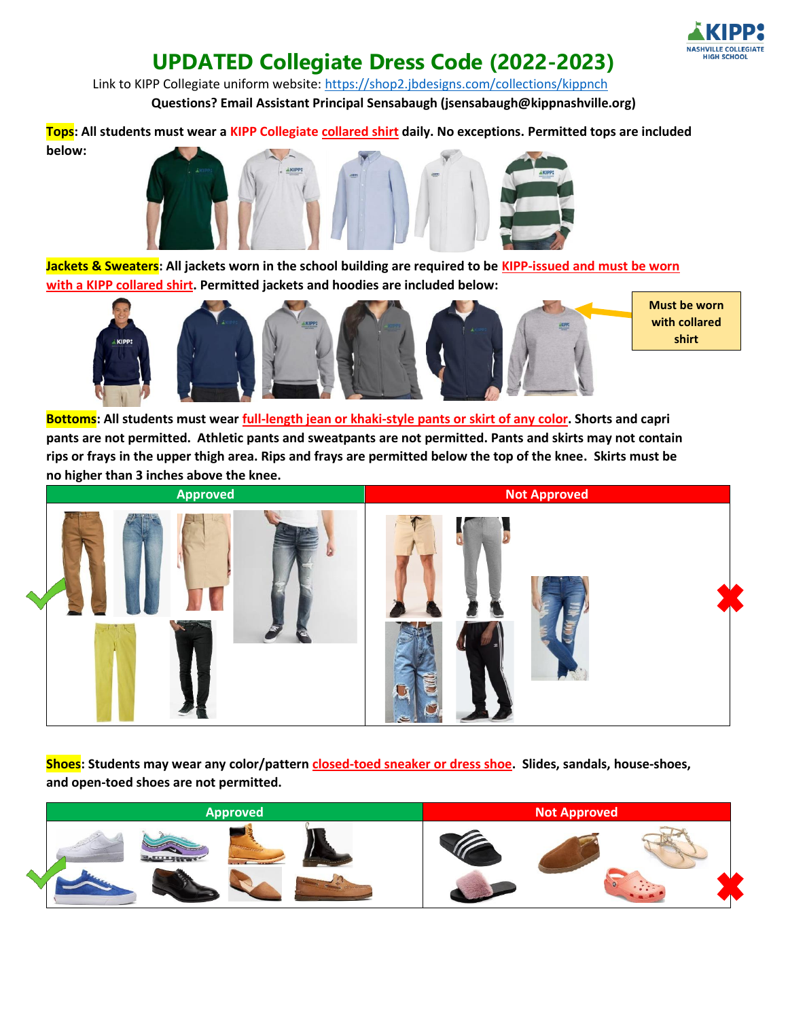

## **UPDATED Collegiate Dress Code (2022-2023)**

Link to KIPP Collegiate uniform website:<https://shop2.jbdesigns.com/collections/kippnch> **Questions? Email Assistant Principal Sensabaugh (jsensabaugh@kippnashville.org)**

**Tops: All students must wear a KIPP Collegiate collared shirt daily. No exceptions. Permitted tops are included below:** 



**Jackets & Sweaters: All jackets worn in the school building are required to be KIPP-issued and must be worn with a KIPP collared shirt. Permitted jackets and hoodies are included below:**



**Must be worn with collared shirt**

**Bottoms: All students must wear full-length jean or khaki-style pants or skirt of any color. Shorts and capri pants are not permitted. Athletic pants and sweatpants are not permitted. Pants and skirts may not contain rips or frays in the upper thigh area. Rips and frays are permitted below the top of the knee. Skirts must be no higher than 3 inches above the knee.** 



**Shoes: Students may wear any color/pattern closed-toed sneaker or dress shoe. Slides, sandals, house-shoes, and open-toed shoes are not permitted.**